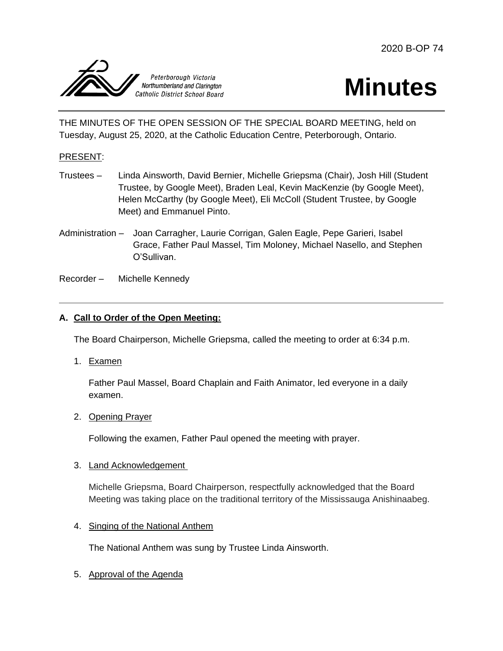

# **Minutes**

THE MINUTES OF THE OPEN SESSION OF THE SPECIAL BOARD MEETING, held on Tuesday, August 25, 2020, at the Catholic Education Centre, Peterborough, Ontario.

# PRESENT:

- Trustees Linda Ainsworth, David Bernier, Michelle Griepsma (Chair), Josh Hill (Student Trustee, by Google Meet), Braden Leal, Kevin MacKenzie (by Google Meet), Helen McCarthy (by Google Meet), Eli McColl (Student Trustee, by Google Meet) and Emmanuel Pinto.
- Administration Joan Carragher, Laurie Corrigan, Galen Eagle, Pepe Garieri, Isabel Grace, Father Paul Massel, Tim Moloney, Michael Nasello, and Stephen O'Sullivan.

Recorder – Michelle Kennedy

# **A. Call to Order of the Open Meeting:**

The Board Chairperson, Michelle Griepsma, called the meeting to order at 6:34 p.m.

1. Examen

Father Paul Massel, Board Chaplain and Faith Animator, led everyone in a daily examen.

2. Opening Prayer

Following the examen, Father Paul opened the meeting with prayer.

3. Land Acknowledgement

Michelle Griepsma, Board Chairperson, respectfully acknowledged that the Board Meeting was taking place on the traditional territory of the Mississauga Anishinaabeg.

# 4. Singing of the National Anthem

The National Anthem was sung by Trustee Linda Ainsworth.

5. Approval of the Agenda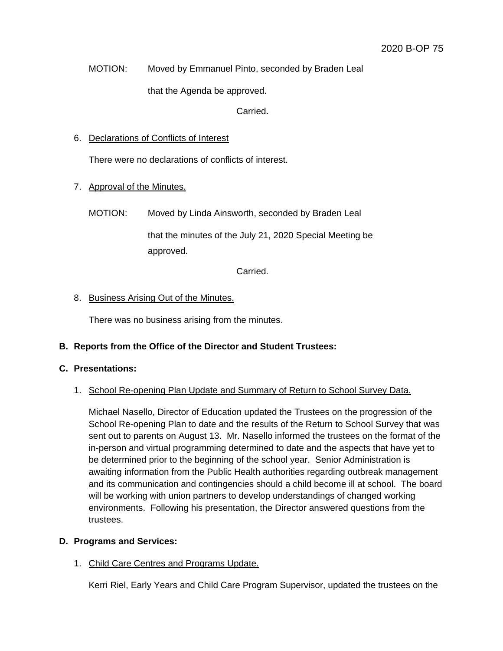MOTION: Moved by Emmanuel Pinto, seconded by Braden Leal

that the Agenda be approved.

Carried.

## 6. Declarations of Conflicts of Interest

There were no declarations of conflicts of interest.

# 7. Approval of the Minutes.

MOTION: Moved by Linda Ainsworth, seconded by Braden Leal

that the minutes of the July 21, 2020 Special Meeting be approved.

Carried.

# 8. Business Arising Out of the Minutes.

There was no business arising from the minutes.

# **B. Reports from the Office of the Director and Student Trustees:**

# **C. Presentations:**

# 1. School Re-opening Plan Update and Summary of Return to School Survey Data.

Michael Nasello, Director of Education updated the Trustees on the progression of the School Re-opening Plan to date and the results of the Return to School Survey that was sent out to parents on August 13. Mr. Nasello informed the trustees on the format of the in-person and virtual programming determined to date and the aspects that have yet to be determined prior to the beginning of the school year. Senior Administration is awaiting information from the Public Health authorities regarding outbreak management and its communication and contingencies should a child become ill at school. The board will be working with union partners to develop understandings of changed working environments. Following his presentation, the Director answered questions from the trustees.

# **D. Programs and Services:**

# 1. Child Care Centres and Programs Update.

Kerri Riel, Early Years and Child Care Program Supervisor, updated the trustees on the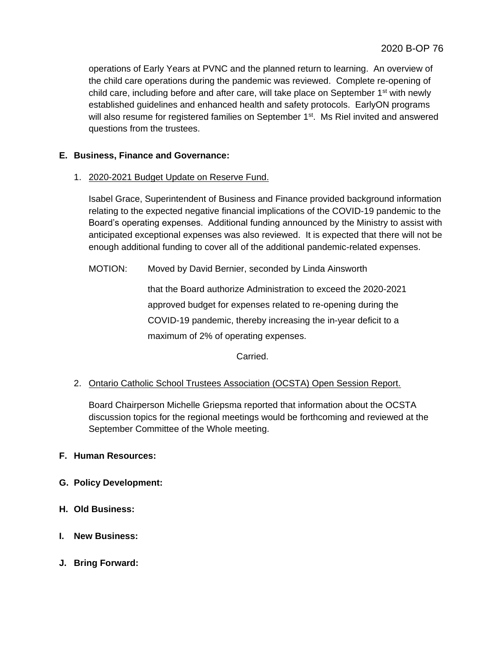operations of Early Years at PVNC and the planned return to learning. An overview of the child care operations during the pandemic was reviewed. Complete re-opening of child care, including before and after care, will take place on September  $1<sup>st</sup>$  with newly established guidelines and enhanced health and safety protocols. EarlyON programs will also resume for registered families on September  $1<sup>st</sup>$ . Ms Riel invited and answered questions from the trustees.

# **E. Business, Finance and Governance:**

1. 2020-2021 Budget Update on Reserve Fund.

Isabel Grace, Superintendent of Business and Finance provided background information relating to the expected negative financial implications of the COVID-19 pandemic to the Board's operating expenses. Additional funding announced by the Ministry to assist with anticipated exceptional expenses was also reviewed. It is expected that there will not be enough additional funding to cover all of the additional pandemic-related expenses.

MOTION: Moved by David Bernier, seconded by Linda Ainsworth

that the Board authorize Administration to exceed the 2020-2021 approved budget for expenses related to re-opening during the COVID-19 pandemic, thereby increasing the in-year deficit to a maximum of 2% of operating expenses.

Carried.

# 2. Ontario Catholic School Trustees Association (OCSTA) Open Session Report.

Board Chairperson Michelle Griepsma reported that information about the OCSTA discussion topics for the regional meetings would be forthcoming and reviewed at the September Committee of the Whole meeting.

# **F. Human Resources:**

- **G. Policy Development:**
- **H. Old Business:**
- **I. New Business:**
- **J. Bring Forward:**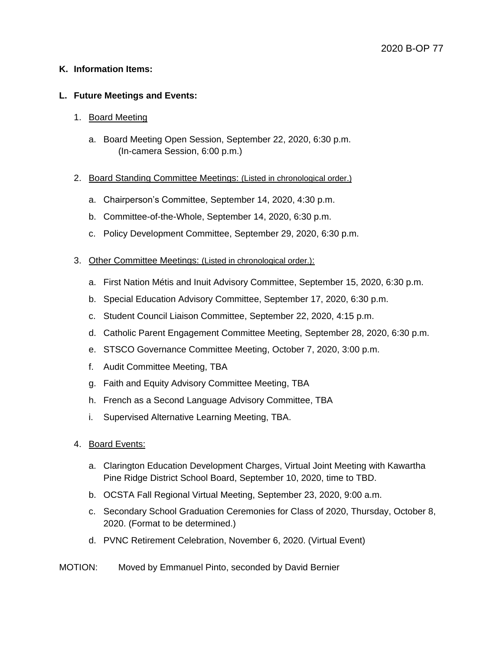## **K. Information Items:**

## **L. Future Meetings and Events:**

## 1. Board Meeting

a. Board Meeting Open Session, September 22, 2020, 6:30 p.m. (In-camera Session, 6:00 p.m.)

## 2. Board Standing Committee Meetings: (Listed in chronological order.)

- a. Chairperson's Committee, September 14, 2020, 4:30 p.m.
- b. Committee-of-the-Whole, September 14, 2020, 6:30 p.m.
- c. Policy Development Committee, September 29, 2020, 6:30 p.m.

## 3. Other Committee Meetings: (Listed in chronological order.):

- a. First Nation Métis and Inuit Advisory Committee, September 15, 2020, 6:30 p.m.
- b. Special Education Advisory Committee, September 17, 2020, 6:30 p.m.
- c. Student Council Liaison Committee, September 22, 2020, 4:15 p.m.
- d. Catholic Parent Engagement Committee Meeting, September 28, 2020, 6:30 p.m.
- e. STSCO Governance Committee Meeting, October 7, 2020, 3:00 p.m.
- f. Audit Committee Meeting, TBA
- g. Faith and Equity Advisory Committee Meeting, TBA
- h. French as a Second Language Advisory Committee, TBA
- i. Supervised Alternative Learning Meeting, TBA.
- 4. Board Events:
	- a. Clarington Education Development Charges, Virtual Joint Meeting with Kawartha Pine Ridge District School Board, September 10, 2020, time to TBD.
	- b. OCSTA Fall Regional Virtual Meeting, September 23, 2020, 9:00 a.m.
	- c. Secondary School Graduation Ceremonies for Class of 2020, Thursday, October 8, 2020. (Format to be determined.)
	- d. PVNC Retirement Celebration, November 6, 2020. (Virtual Event)

## MOTION: Moved by Emmanuel Pinto, seconded by David Bernier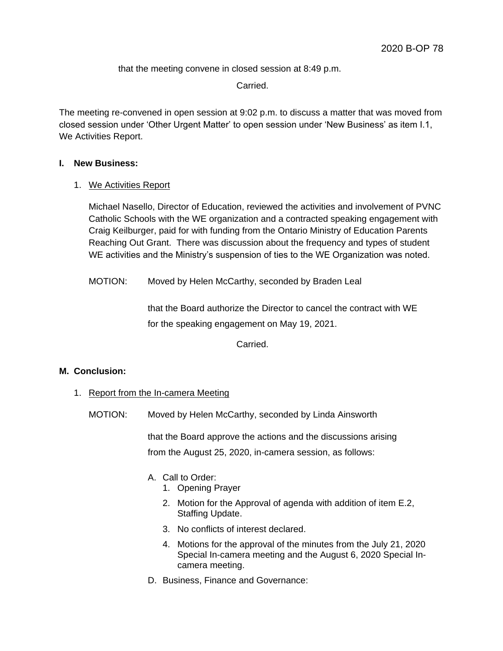that the meeting convene in closed session at 8:49 p.m.

Carried.

The meeting re-convened in open session at 9:02 p.m. to discuss a matter that was moved from closed session under 'Other Urgent Matter' to open session under 'New Business' as item I.1, We Activities Report.

## **I. New Business:**

1. We Activities Report

Michael Nasello, Director of Education, reviewed the activities and involvement of PVNC Catholic Schools with the WE organization and a contracted speaking engagement with Craig Keilburger, paid for with funding from the Ontario Ministry of Education Parents Reaching Out Grant. There was discussion about the frequency and types of student WE activities and the Ministry's suspension of ties to the WE Organization was noted.

MOTION: Moved by Helen McCarthy, seconded by Braden Leal

that the Board authorize the Director to cancel the contract with WE for the speaking engagement on May 19, 2021.

Carried.

# **M. Conclusion:**

- 1. Report from the In-camera Meeting
	- MOTION: Moved by Helen McCarthy, seconded by Linda Ainsworth

that the Board approve the actions and the discussions arising from the August 25, 2020, in-camera session, as follows:

- A. Call to Order:
	- 1. Opening Prayer
	- 2. Motion for the Approval of agenda with addition of item E.2, Staffing Update.
	- 3. No conflicts of interest declared.
	- 4. Motions for the approval of the minutes from the July 21, 2020 Special In-camera meeting and the August 6, 2020 Special Incamera meeting.
- D. Business, Finance and Governance: